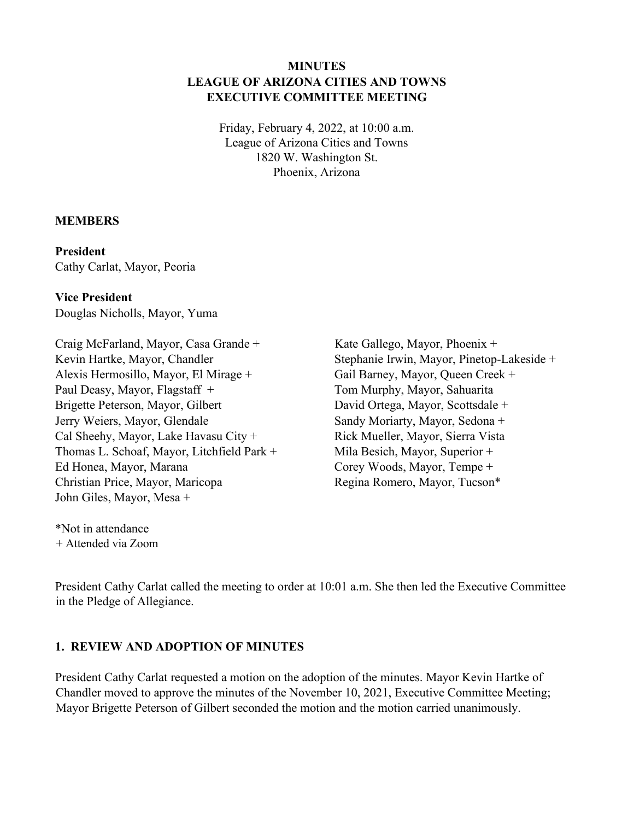## **MINUTES LEAGUE OF ARIZONA CITIES AND TOWNS EXECUTIVE COMMITTEE MEETING**

Friday, February 4, 2022, at 10:00 a.m. League of Arizona Cities and Towns 1820 W. Washington St. Phoenix, Arizona

#### **MEMBERS**

#### **President**

Cathy Carlat, Mayor, Peoria

### **Vice President**

Douglas Nicholls, Mayor, Yuma

Craig McFarland, Mayor, Casa Grande + Kevin Hartke, Mayor, Chandler Alexis Hermosillo, Mayor, El Mirage + Paul Deasy, Mayor, Flagstaff + Brigette Peterson, Mayor, Gilbert Jerry Weiers, Mayor, Glendale Cal Sheehy, Mayor, Lake Havasu City + Thomas L. Schoaf, Mayor, Litchfield Park + Ed Honea, Mayor, Marana Christian Price, Mayor, Maricopa John Giles, Mayor, Mesa +

Kate Gallego, Mayor, Phoenix + Stephanie Irwin, Mayor, Pinetop-Lakeside + Gail Barney, Mayor, Queen Creek + Tom Murphy, Mayor, Sahuarita David Ortega, Mayor, Scottsdale + Sandy Moriarty, Mayor, Sedona + Rick Mueller, Mayor, Sierra Vista Mila Besich, Mayor, Superior + Corey Woods, Mayor, Tempe + Regina Romero, Mayor, Tucson\*

\*Not in attendance + Attended via Zoom

President Cathy Carlat called the meeting to order at 10:01 a.m. She then led the Executive Committee in the Pledge of Allegiance.

#### **1. REVIEW AND ADOPTION OF MINUTES**

President Cathy Carlat requested a motion on the adoption of the minutes. Mayor Kevin Hartke of Chandler moved to approve the minutes of the November 10, 2021, Executive Committee Meeting; Mayor Brigette Peterson of Gilbert seconded the motion and the motion carried unanimously.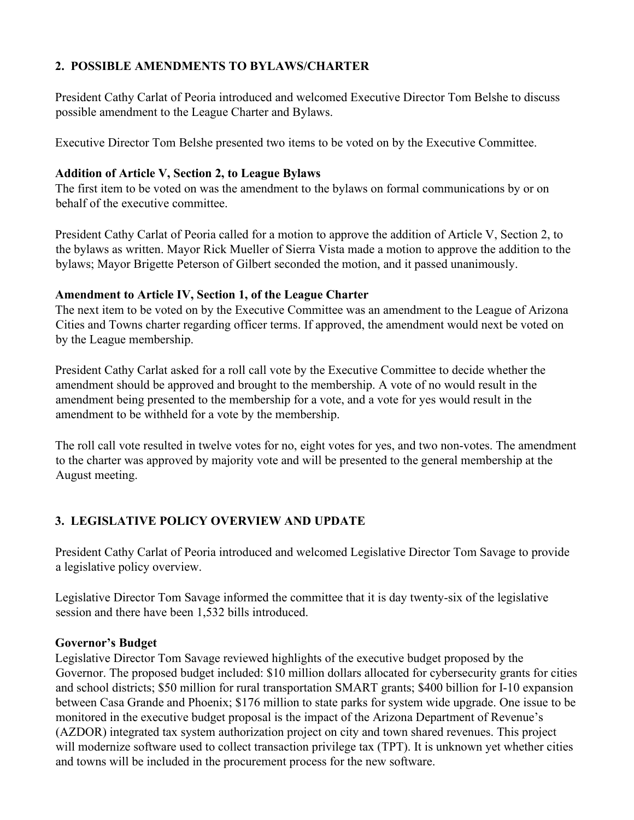## **2. POSSIBLE AMENDMENTS TO BYLAWS/CHARTER**

President Cathy Carlat of Peoria introduced and welcomed Executive Director Tom Belshe to discuss possible amendment to the League Charter and Bylaws.

Executive Director Tom Belshe presented two items to be voted on by the Executive Committee.

## **Addition of Article V, Section 2, to League Bylaws**

The first item to be voted on was the amendment to the bylaws on formal communications by or on behalf of the executive committee.

President Cathy Carlat of Peoria called for a motion to approve the addition of Article V, Section 2, to the bylaws as written. Mayor Rick Mueller of Sierra Vista made a motion to approve the addition to the bylaws; Mayor Brigette Peterson of Gilbert seconded the motion, and it passed unanimously.

## **Amendment to Article IV, Section 1, of the League Charter**

The next item to be voted on by the Executive Committee was an amendment to the League of Arizona Cities and Towns charter regarding officer terms. If approved, the amendment would next be voted on by the League membership.

President Cathy Carlat asked for a roll call vote by the Executive Committee to decide whether the amendment should be approved and brought to the membership. A vote of no would result in the amendment being presented to the membership for a vote, and a vote for yes would result in the amendment to be withheld for a vote by the membership.

The roll call vote resulted in twelve votes for no, eight votes for yes, and two non-votes. The amendment to the charter was approved by majority vote and will be presented to the general membership at the August meeting.

# **3. LEGISLATIVE POLICY OVERVIEW AND UPDATE**

President Cathy Carlat of Peoria introduced and welcomed Legislative Director Tom Savage to provide a legislative policy overview.

Legislative Director Tom Savage informed the committee that it is day twenty-six of the legislative session and there have been 1,532 bills introduced.

# **Governor's Budget**

Legislative Director Tom Savage reviewed highlights of the executive budget proposed by the Governor. The proposed budget included: \$10 million dollars allocated for cybersecurity grants for cities and school districts; \$50 million for rural transportation SMART grants; \$400 billion for I-10 expansion between Casa Grande and Phoenix; \$176 million to state parks for system wide upgrade. One issue to be monitored in the executive budget proposal is the impact of the Arizona Department of Revenue's (AZDOR) integrated tax system authorization project on city and town shared revenues. This project will modernize software used to collect transaction privilege tax (TPT). It is unknown yet whether cities and towns will be included in the procurement process for the new software.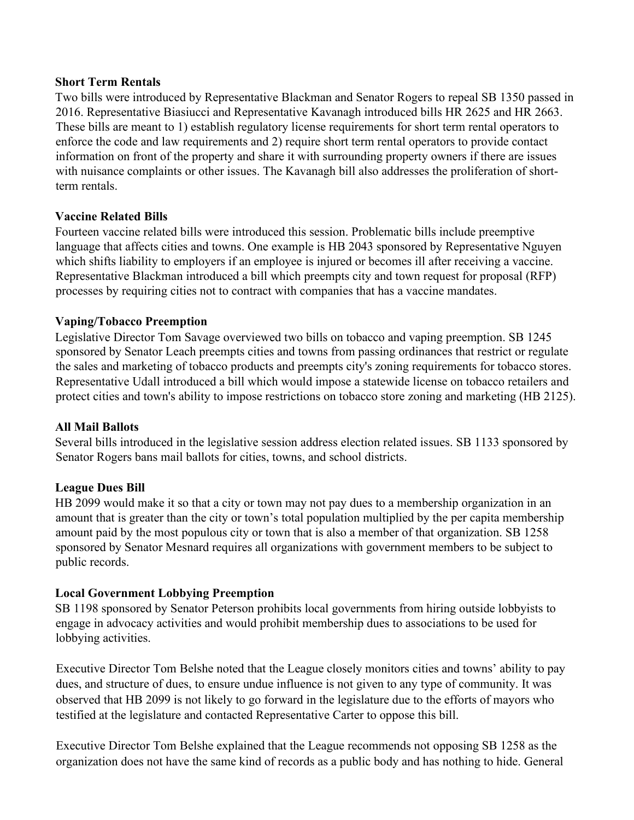#### **Short Term Rentals**

Two bills were introduced by Representative Blackman and Senator Rogers to repeal SB 1350 passed in 2016. Representative Biasiucci and Representative Kavanagh introduced bills HR 2625 and HR 2663. These bills are meant to 1) establish regulatory license requirements for short term rental operators to enforce the code and law requirements and 2) require short term rental operators to provide contact information on front of the property and share it with surrounding property owners if there are issues with nuisance complaints or other issues. The Kavanagh bill also addresses the proliferation of shortterm rentals.

### **Vaccine Related Bills**

Fourteen vaccine related bills were introduced this session. Problematic bills include preemptive language that affects cities and towns. One example is HB 2043 sponsored by Representative Nguyen which shifts liability to employers if an employee is injured or becomes ill after receiving a vaccine. Representative Blackman introduced a bill which preempts city and town request for proposal (RFP) processes by requiring cities not to contract with companies that has a vaccine mandates.

### **Vaping/Tobacco Preemption**

Legislative Director Tom Savage overviewed two bills on tobacco and vaping preemption. SB 1245 sponsored by Senator Leach preempts cities and towns from passing ordinances that restrict or regulate the sales and marketing of tobacco products and preempts city's zoning requirements for tobacco stores. Representative Udall introduced a bill which would impose a statewide license on tobacco retailers and protect cities and town's ability to impose restrictions on tobacco store zoning and marketing (HB 2125).

#### **All Mail Ballots**

Several bills introduced in the legislative session address election related issues. SB 1133 sponsored by Senator Rogers bans mail ballots for cities, towns, and school districts.

#### **League Dues Bill**

HB 2099 would make it so that a city or town may not pay dues to a membership organization in an amount that is greater than the city or town's total population multiplied by the per capita membership amount paid by the most populous city or town that is also a member of that organization. SB 1258 sponsored by Senator Mesnard requires all organizations with government members to be subject to public records.

#### **Local Government Lobbying Preemption**

SB 1198 sponsored by Senator Peterson prohibits local governments from hiring outside lobbyists to engage in advocacy activities and would prohibit membership dues to associations to be used for lobbying activities.

Executive Director Tom Belshe noted that the League closely monitors cities and towns' ability to pay dues, and structure of dues, to ensure undue influence is not given to any type of community. It was observed that HB 2099 is not likely to go forward in the legislature due to the efforts of mayors who testified at the legislature and contacted Representative Carter to oppose this bill.

Executive Director Tom Belshe explained that the League recommends not opposing SB 1258 as the organization does not have the same kind of records as a public body and has nothing to hide. General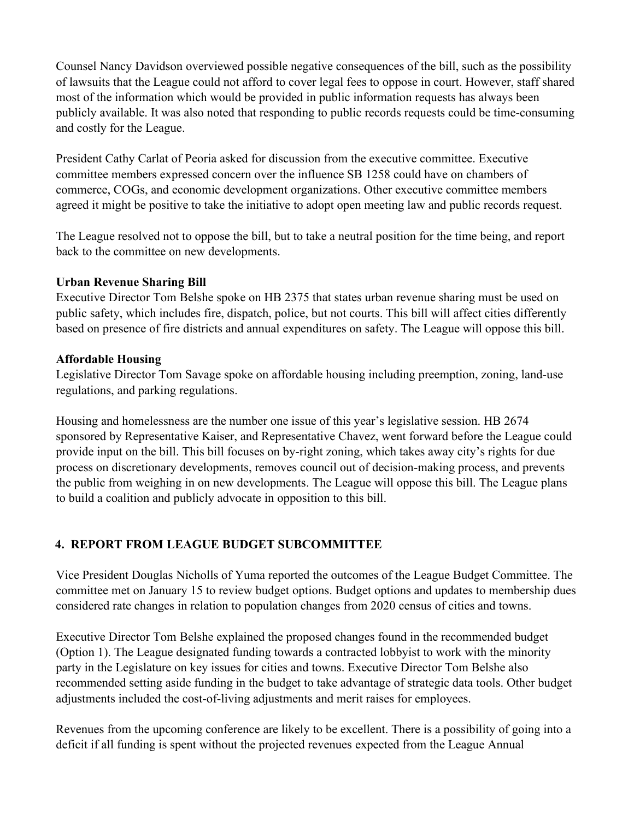Counsel Nancy Davidson overviewed possible negative consequences of the bill, such as the possibility of lawsuits that the League could not afford to cover legal fees to oppose in court. However, staff shared most of the information which would be provided in public information requests has always been publicly available. It was also noted that responding to public records requests could be time-consuming and costly for the League.

President Cathy Carlat of Peoria asked for discussion from the executive committee. Executive committee members expressed concern over the influence SB 1258 could have on chambers of commerce, COGs, and economic development organizations. Other executive committee members agreed it might be positive to take the initiative to adopt open meeting law and public records request.

The League resolved not to oppose the bill, but to take a neutral position for the time being, and report back to the committee on new developments.

## **Urban Revenue Sharing Bill**

Executive Director Tom Belshe spoke on HB 2375 that states urban revenue sharing must be used on public safety, which includes fire, dispatch, police, but not courts. This bill will affect cities differently based on presence of fire districts and annual expenditures on safety. The League will oppose this bill.

### **Affordable Housing**

Legislative Director Tom Savage spoke on affordable housing including preemption, zoning, land-use regulations, and parking regulations.

Housing and homelessness are the number one issue of this year's legislative session. HB 2674 sponsored by Representative Kaiser, and Representative Chavez, went forward before the League could provide input on the bill. This bill focuses on by-right zoning, which takes away city's rights for due process on discretionary developments, removes council out of decision-making process, and prevents the public from weighing in on new developments. The League will oppose this bill. The League plans to build a coalition and publicly advocate in opposition to this bill.

# **4. REPORT FROM LEAGUE BUDGET SUBCOMMITTEE**

Vice President Douglas Nicholls of Yuma reported the outcomes of the League Budget Committee. The committee met on January 15 to review budget options. Budget options and updates to membership dues considered rate changes in relation to population changes from 2020 census of cities and towns.

Executive Director Tom Belshe explained the proposed changes found in the recommended budget (Option 1). The League designated funding towards a contracted lobbyist to work with the minority party in the Legislature on key issues for cities and towns. Executive Director Tom Belshe also recommended setting aside funding in the budget to take advantage of strategic data tools. Other budget adjustments included the cost-of-living adjustments and merit raises for employees.

Revenues from the upcoming conference are likely to be excellent. There is a possibility of going into a deficit if all funding is spent without the projected revenues expected from the League Annual